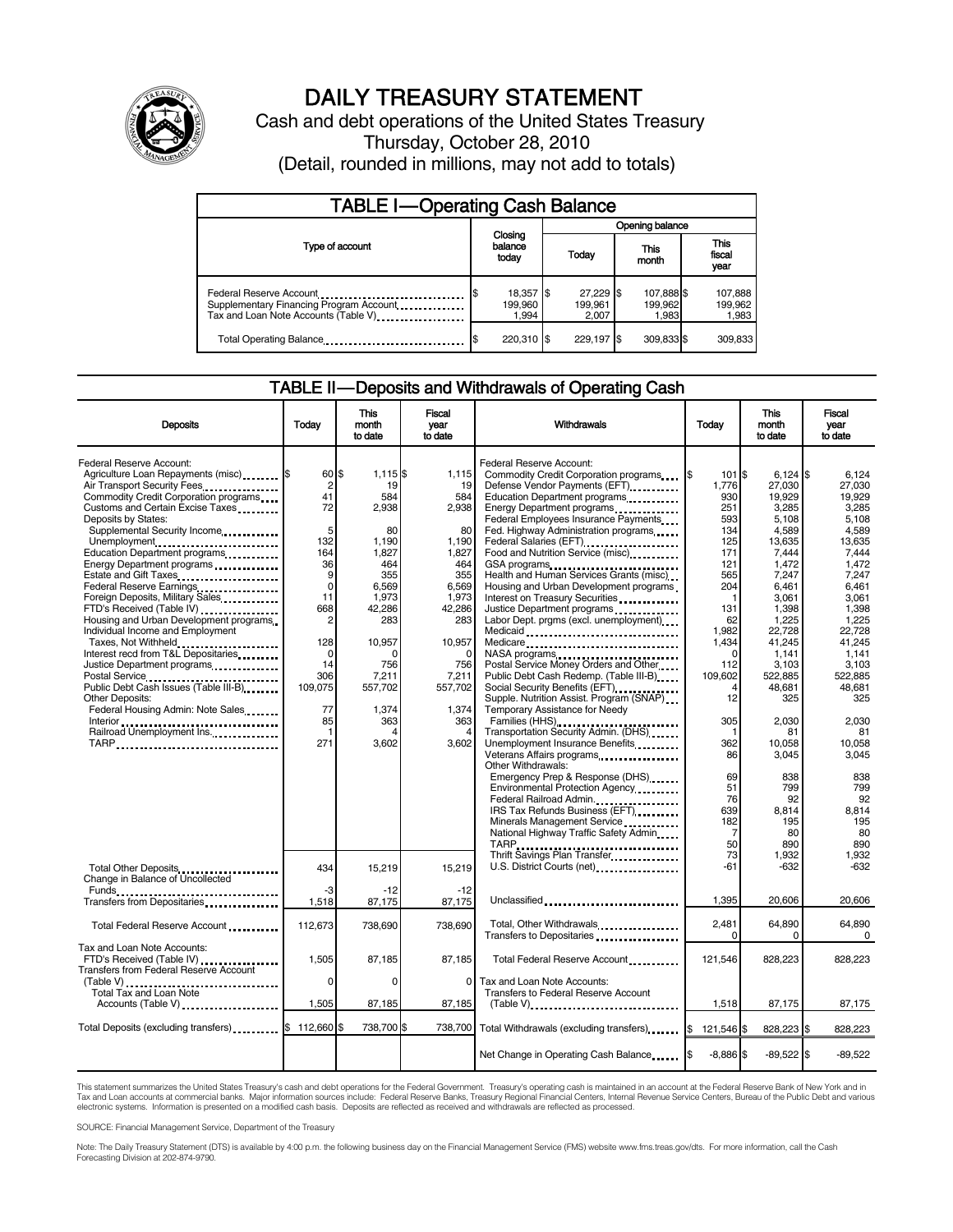

# DAILY TREASURY STATEMENT

Cash and debt operations of the United States Treasury Thursday, October 28, 2010 (Detail, rounded in millions, may not add to totals)

| <b>TABLE I-Operating Cash Balance</b>                                                                       |                               |                               |                                |                               |  |  |
|-------------------------------------------------------------------------------------------------------------|-------------------------------|-------------------------------|--------------------------------|-------------------------------|--|--|
|                                                                                                             |                               | Opening balance               |                                |                               |  |  |
| Type of account                                                                                             | Closing<br>balance<br>today   | Todav                         | This<br>month                  | <b>This</b><br>fiscal<br>year |  |  |
| Federal Reserve Account<br>Supplementary Financing Program Account<br>Tax and Loan Note Accounts (Table V). | 18,357 \$<br>199.960<br>1.994 | 27.229 \$<br>199.961<br>2.007 | 107,888 \$<br>199,962<br>1.983 | 107,888<br>199,962<br>1,983   |  |  |
| Total Operating Balance                                                                                     | 220.310 \$                    | 229.197                       | 309,833 \$                     | 309.833                       |  |  |

### TABLE II — Deposits and Withdrawals of Operating Cash

| <b>Deposits</b>                                                                                                                                                                                                                                                                                                                                                                                                                                                                                                                                                                                                                                                                                                                                 | Todav                                                                                                                                        | This<br>month<br>to date                                                                                                                                       | Fiscal<br>year<br>to date                                                                                                                                 | Withdrawals                                                                                                                                                                                                                                                                                                                                                                                                                                                                                                                                                                                                                                                                                                                                                                                                    | Todav                                                                                                                                                    | <b>This</b><br>month<br>to date                                                                                                                                                                              | Fiscal<br>vear<br>to date                                                                                                                                                                                |
|-------------------------------------------------------------------------------------------------------------------------------------------------------------------------------------------------------------------------------------------------------------------------------------------------------------------------------------------------------------------------------------------------------------------------------------------------------------------------------------------------------------------------------------------------------------------------------------------------------------------------------------------------------------------------------------------------------------------------------------------------|----------------------------------------------------------------------------------------------------------------------------------------------|----------------------------------------------------------------------------------------------------------------------------------------------------------------|-----------------------------------------------------------------------------------------------------------------------------------------------------------|----------------------------------------------------------------------------------------------------------------------------------------------------------------------------------------------------------------------------------------------------------------------------------------------------------------------------------------------------------------------------------------------------------------------------------------------------------------------------------------------------------------------------------------------------------------------------------------------------------------------------------------------------------------------------------------------------------------------------------------------------------------------------------------------------------------|----------------------------------------------------------------------------------------------------------------------------------------------------------|--------------------------------------------------------------------------------------------------------------------------------------------------------------------------------------------------------------|----------------------------------------------------------------------------------------------------------------------------------------------------------------------------------------------------------|
| Federal Reserve Account:<br>Agriculture Loan Repayments (misc) [\$<br>Air Transport Security Fees<br>Commodity Credit Corporation programs<br>Customs and Certain Excise Taxes<br>Deposits by States:<br>Supplemental Security Income<br>Unemployment<br>Education Department programs<br>Energy Department programs<br>Estate and Gift Taxes<br>Federal Reserve Earnings<br>Foreign Deposits, Military Sales<br>FTD's Received (Table IV)<br>Housing and Urban Development programs<br>Individual Income and Employment<br>Taxes, Not Withheld<br>Interest recd from T&L Depositaries<br>Justice Department programs<br>Postal Service<br>Public Debt Cash Issues (Table III-B)<br><b>Other Deposits:</b><br>Federal Housing Admin: Note Sales | 60 \$<br>2<br>41<br>72<br>5<br>132<br>164<br>36<br>9<br>$\mathbf 0$<br>11<br>668<br>2<br>128<br>$\Omega$<br>14<br>306<br>109,075<br>77<br>85 | $1,115$ \$<br>19<br>584<br>2,938<br>80<br>1,190<br>1,827<br>464<br>355<br>6,569<br>1,973<br>42.286<br>283<br>10,957<br>756<br>7,211<br>557,702<br>1,374<br>363 | 1,115<br>19<br>584<br>2,938<br>80<br>1,190<br>1,827<br>464<br>355<br>6,569<br>1,973<br>42,286<br>283<br>10,957<br>756<br>7,211<br>557,702<br>1,374<br>363 | Federal Reserve Account:<br>Commodity Credit Corporation programs<br>Defense Vendor Payments (EFT)<br>Education Department programs<br>Energy Department programs<br>Federal Employees Insurance Payments<br>Fed. Highway Administration programs<br>Federal Salaries (EFT)<br>1991 - Pateral Salaries (EFT)<br>Food and Nutrition Service (misc)<br>GSA programs<br>Health and Human Services Grants (misc)<br>Housing and Urban Development programs<br>Interest on Treasury Securities<br>Justice Department programs<br>Labor Dept. prgms (excl. unemployment)<br>Medicaid<br>Medicare<br>NASA programs<br>Postal Service Money Orders and Other<br>Public Debt Cash Redemp. (Table III-B)<br>Social Security Benefits (EFT)<br>Supple. Nutrition Assist. Program (SNAP)<br>Temporary Assistance for Needy | I\$<br>101 \$<br>1.776<br>930<br>251<br>593<br>134<br>125<br>171<br>121<br>565<br>204<br>1<br>131<br>62<br>1,982<br>1.434<br>112<br>109,602<br>12<br>305 | $6.124$ S<br>27.030<br>19,929<br>3,285<br>5,108<br>4.589<br>13,635<br>7,444<br>1,472<br>7,247<br>6,461<br>3,061<br>1,398<br>1,225<br>22,728<br>41,245<br>1,141<br>3,103<br>522,885<br>48,681<br>325<br>2,030 | 6.124<br>27.030<br>19,929<br>3,285<br>5,108<br>4.589<br>13,635<br>7.444<br>1.472<br>7.247<br>6.461<br>3.061<br>1.398<br>1,225<br>22,728<br>41.245<br>1.141<br>3,103<br>522.885<br>48.681<br>325<br>2,030 |
| Railroad Unemployment Ins.<br>TARP                                                                                                                                                                                                                                                                                                                                                                                                                                                                                                                                                                                                                                                                                                              | -1<br>271                                                                                                                                    | 3.602                                                                                                                                                          | 4<br>3.602                                                                                                                                                | Transportation Security Admin. (DHS)<br>Unemployment Insurance Benefits<br>Other Withdrawals:<br>Emergency Prep & Response (DHS)<br>Environmental Protection Agency<br>Federal Railroad Admin.<br>IRS Tax Refunds Business (EFT)<br>Minerals Management Service<br>National Highway Traffic Safety Admin<br>TARP<br>TARP<br>Thrift Savings Plan Transfer                                                                                                                                                                                                                                                                                                                                                                                                                                                       | 1<br>362<br>86<br>69<br>51<br>76<br>639<br>182<br>7<br>50                                                                                                | 81<br>10.058<br>3,045<br>838<br>799<br>92<br>8,814<br>195<br>80<br>890                                                                                                                                       | 81<br>10.058<br>3,045<br>838<br>799<br>92<br>8.814<br>195<br>80<br>890                                                                                                                                   |
| Total Other Deposits<br>Change in Balance of Uncollected<br>Funds<br>Transfers from Depositaries                                                                                                                                                                                                                                                                                                                                                                                                                                                                                                                                                                                                                                                | 434<br>-3<br>1,518                                                                                                                           | 15.219<br>$-12$<br>87,175                                                                                                                                      | 15.219<br>$-12$<br>87,175                                                                                                                                 | U.S. District Courts (net)<br>Unclassified                                                                                                                                                                                                                                                                                                                                                                                                                                                                                                                                                                                                                                                                                                                                                                     | 73<br>-61<br>1.395                                                                                                                                       | 1,932<br>$-632$<br>20.606                                                                                                                                                                                    | 1,932<br>$-632$<br>20.606                                                                                                                                                                                |
| Total Federal Reserve Account                                                                                                                                                                                                                                                                                                                                                                                                                                                                                                                                                                                                                                                                                                                   | 112,673                                                                                                                                      | 738,690                                                                                                                                                        | 738,690                                                                                                                                                   | Total, Other Withdrawals<br>Transfers to Depositaries                                                                                                                                                                                                                                                                                                                                                                                                                                                                                                                                                                                                                                                                                                                                                          | 2,481<br>$\Omega$                                                                                                                                        | 64,890<br>$\Omega$                                                                                                                                                                                           | 64,890<br>$\Omega$                                                                                                                                                                                       |
| Tax and Loan Note Accounts:<br>FTD's Received (Table IV)<br>Transfers from Federal Reserve Account<br>(Table V)<br>Total Tax and Loan Note<br>Accounts (Table V)                                                                                                                                                                                                                                                                                                                                                                                                                                                                                                                                                                                | 1,505<br>$\Omega$<br>1,505                                                                                                                   | 87,185<br>$\Omega$<br>87,185                                                                                                                                   | 87,185<br>0<br>87,185                                                                                                                                     | Total Federal Reserve Account<br>Tax and Loan Note Accounts:<br>Transfers to Federal Reserve Account<br>$(Table V)$ ,                                                                                                                                                                                                                                                                                                                                                                                                                                                                                                                                                                                                                                                                                          | 121,546<br>1,518                                                                                                                                         | 828.223<br>87,175                                                                                                                                                                                            | 828.223<br>87,175                                                                                                                                                                                        |
| Total Deposits (excluding transfers) <b>S</b>                                                                                                                                                                                                                                                                                                                                                                                                                                                                                                                                                                                                                                                                                                   | 112,660                                                                                                                                      | 738,700 \$                                                                                                                                                     | 738,700                                                                                                                                                   | Total Withdrawals (excluding transfers) [ \]                                                                                                                                                                                                                                                                                                                                                                                                                                                                                                                                                                                                                                                                                                                                                                   | 121,546 \$                                                                                                                                               | 828,223 \$                                                                                                                                                                                                   | 828,223                                                                                                                                                                                                  |
|                                                                                                                                                                                                                                                                                                                                                                                                                                                                                                                                                                                                                                                                                                                                                 |                                                                                                                                              |                                                                                                                                                                |                                                                                                                                                           | Net Change in Operating Cash Balance                                                                                                                                                                                                                                                                                                                                                                                                                                                                                                                                                                                                                                                                                                                                                                           | $-8,886$ \$                                                                                                                                              | $-89,522$ \$                                                                                                                                                                                                 | $-89.522$                                                                                                                                                                                                |

This statement summarizes the United States Treasury's cash and debt operations for the Federal Government. Treasury's operating cash is maintained in an account at the Federal Reserve Bank of New York and in<br>Tax and Loan electronic systems. Information is presented on a modified cash basis. Deposits are reflected as received and withdrawals are reflected as processed.

SOURCE: Financial Management Service, Department of the Treasury

Note: The Daily Treasury Statement (DTS) is available by 4:00 p.m. the following business day on the Financial Management Service (FMS) website www.fms.treas.gov/dts. For more information, call the Cash Forecasting Division at 202-874-9790.